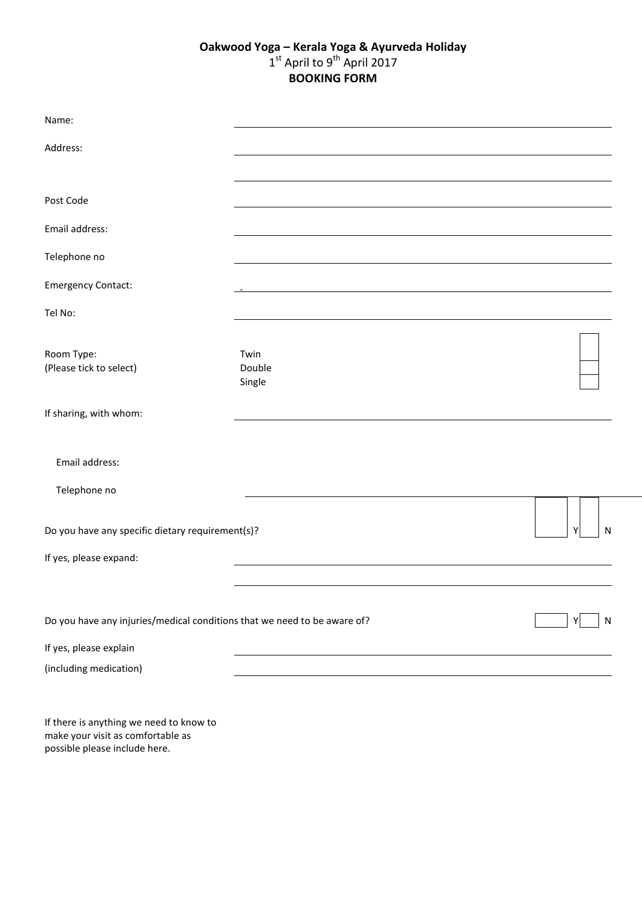## **Oakwood Yoga – Kerala Yoga & Ayurveda Holiday** 1st April to 9<sup>th</sup> April 2017 **BOOKING FORM**

| Name:                                                                    |                          |        |
|--------------------------------------------------------------------------|--------------------------|--------|
| Address:                                                                 |                          |        |
|                                                                          |                          |        |
| Post Code                                                                |                          |        |
| Email address:                                                           |                          |        |
| Telephone no                                                             |                          |        |
| <b>Emergency Contact:</b>                                                |                          |        |
| Tel No:                                                                  |                          |        |
| Room Type:<br>(Please tick to select)                                    | Twin<br>Double<br>Single |        |
| If sharing, with whom:                                                   |                          |        |
| Email address:<br>Telephone no                                           |                          |        |
|                                                                          |                          |        |
| Do you have any specific dietary requirement(s)?                         |                          | Υ<br>N |
| If yes, please expand:                                                   |                          |        |
|                                                                          |                          |        |
| Do you have any injuries/medical conditions that we need to be aware of? |                          | N      |
| If yes, please explain                                                   |                          |        |
| (including medication)                                                   |                          |        |

If there is anything we need to know to make your visit as comfortable as possible please include here.